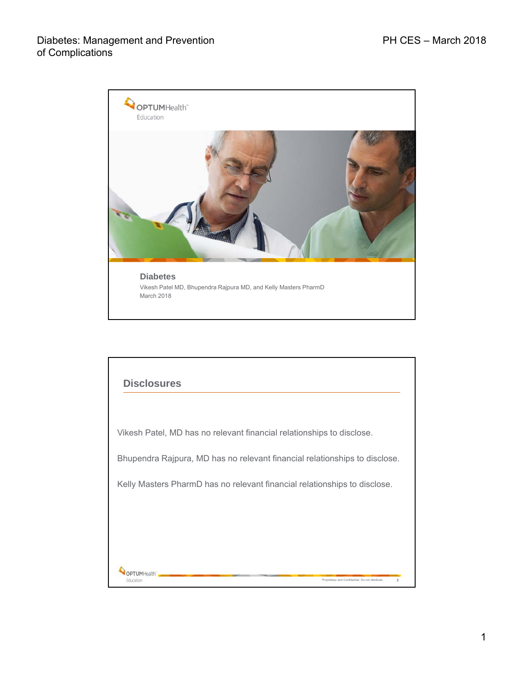

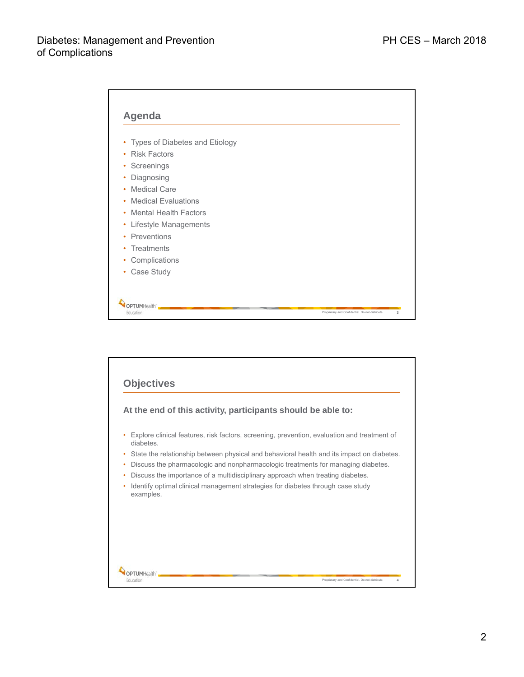

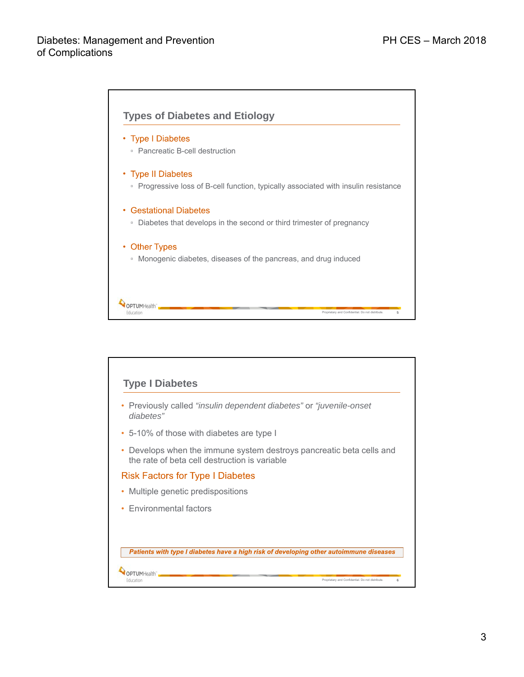

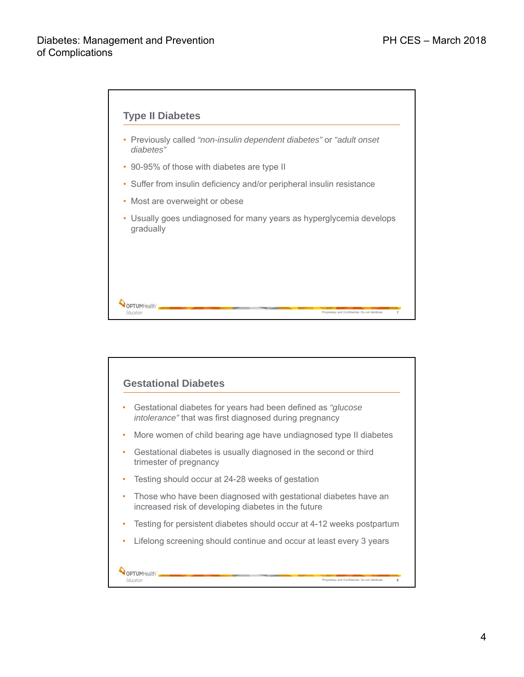

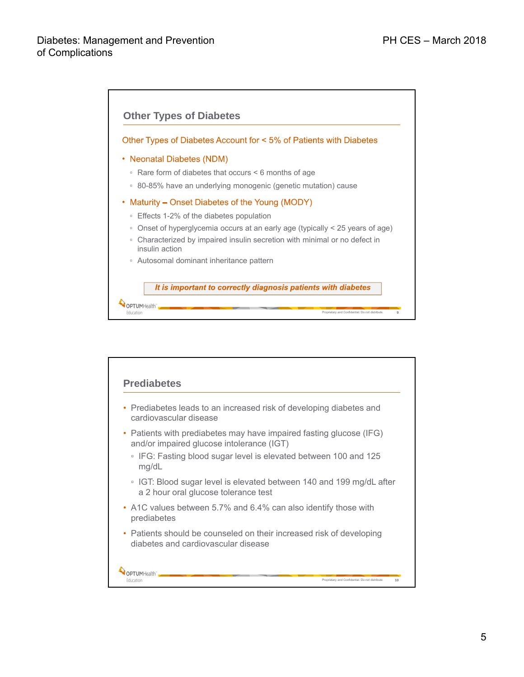

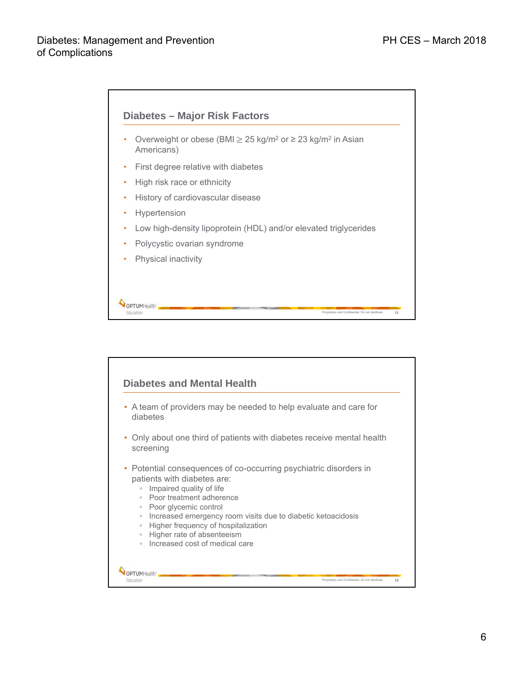

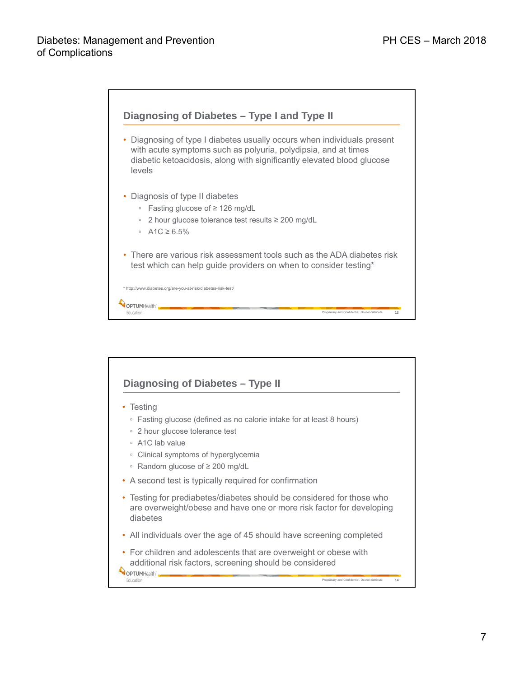

# **Diagnosing of Diabetes – Type II** • Testing ▫ Fasting glucose (defined as no calorie intake for at least 8 hours) ▫ 2 hour glucose tolerance test ▫ A1C lab value ▫ Clinical symptoms of hyperglycemia ▫ Random glucose of ≥ 200 mg/dL • A second test is typically required for confirmation • Testing for prediabetes/diabetes should be considered for those who are overweight/obese and have one or more risk factor for developing diabetes • All individuals over the age of 45 should have screening completed • For children and adolescents that are overweight or obese with additional risk factors, screening should be considered Education Proprietary and Confidential. Do not distribute. **14**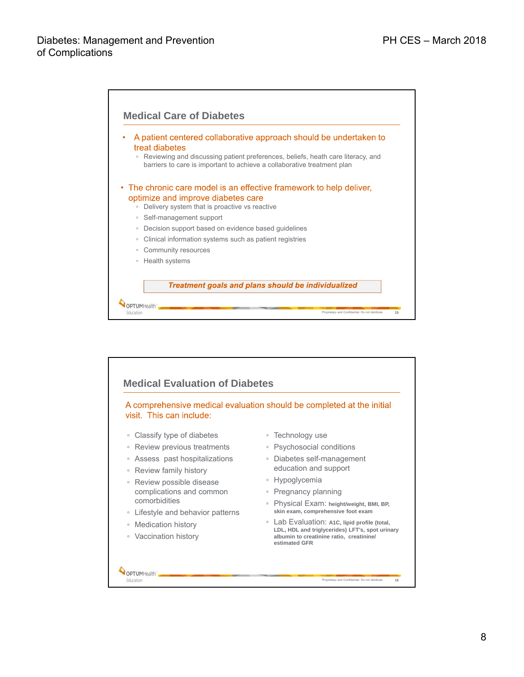

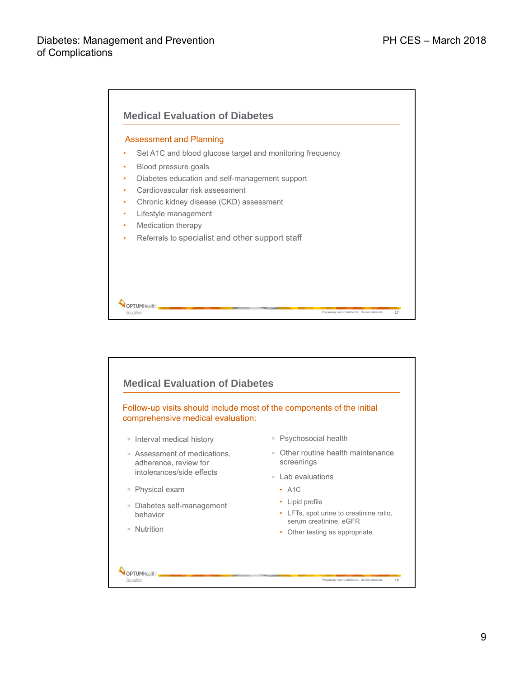

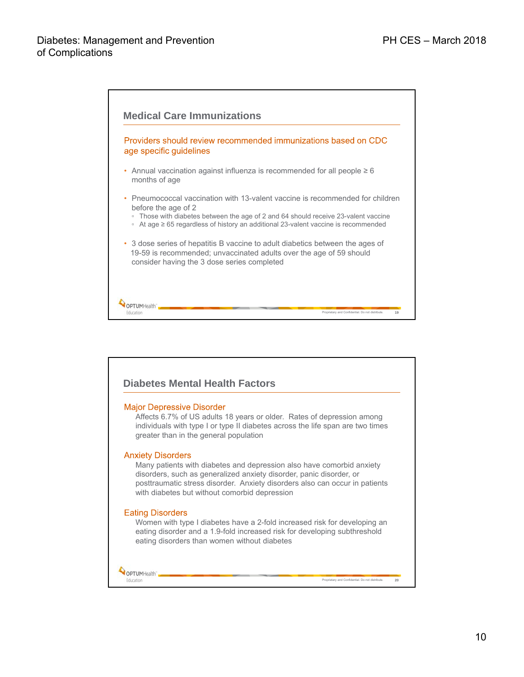

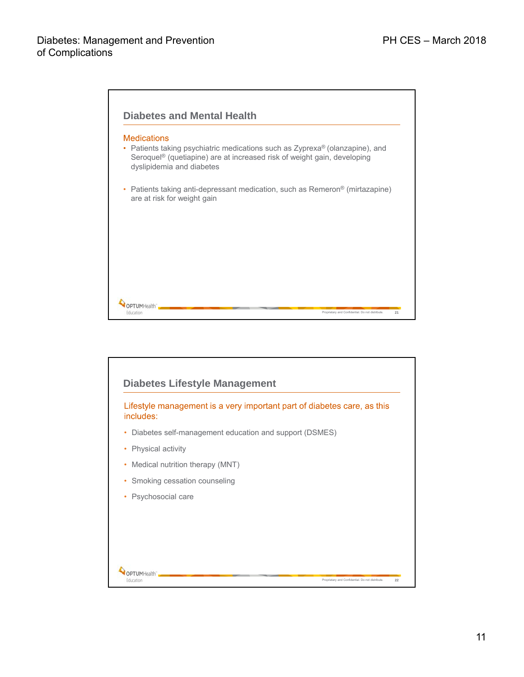

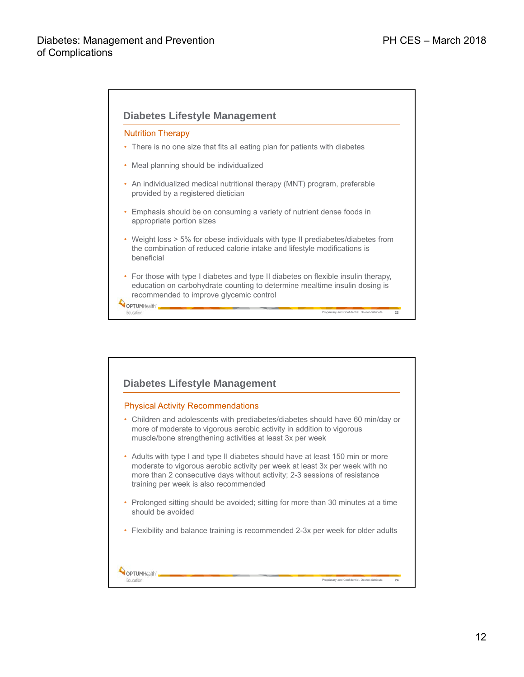

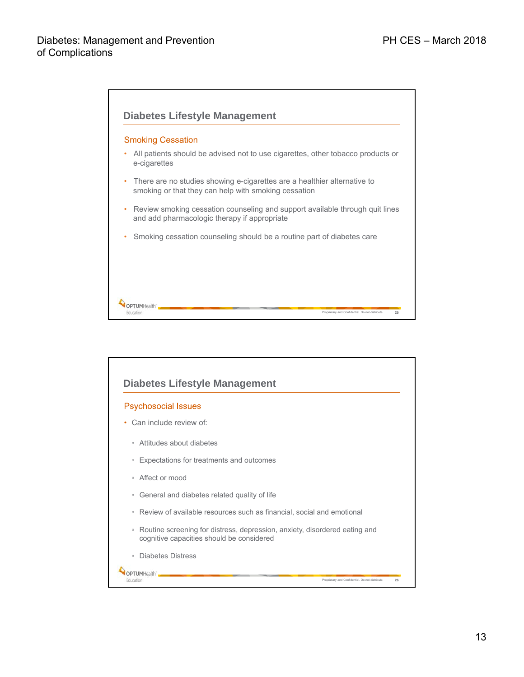

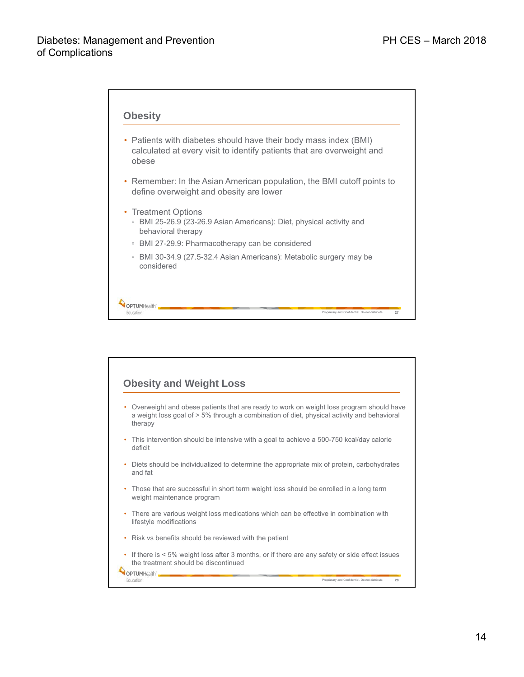

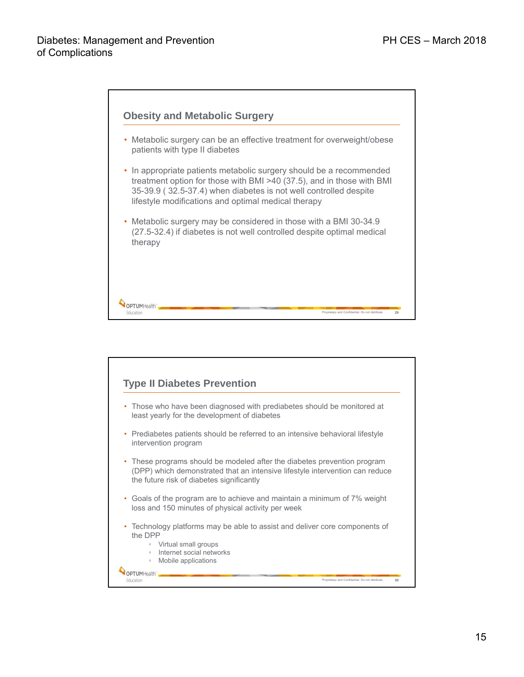

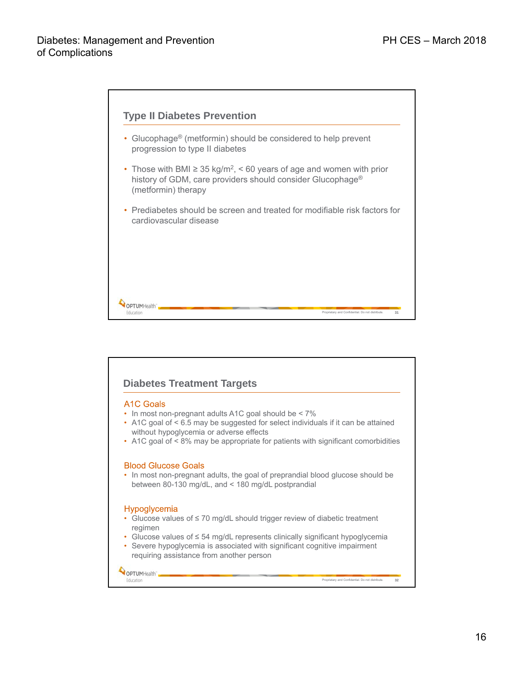

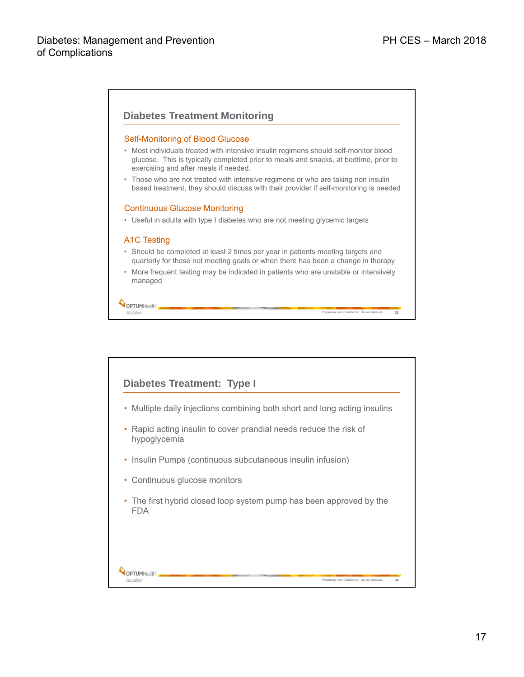

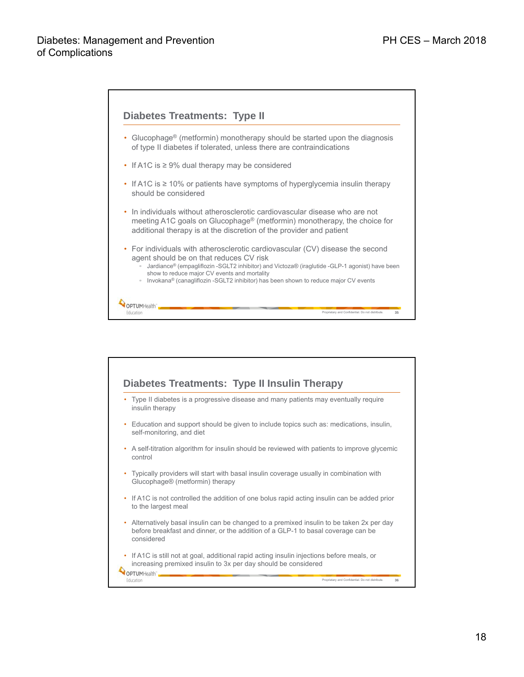

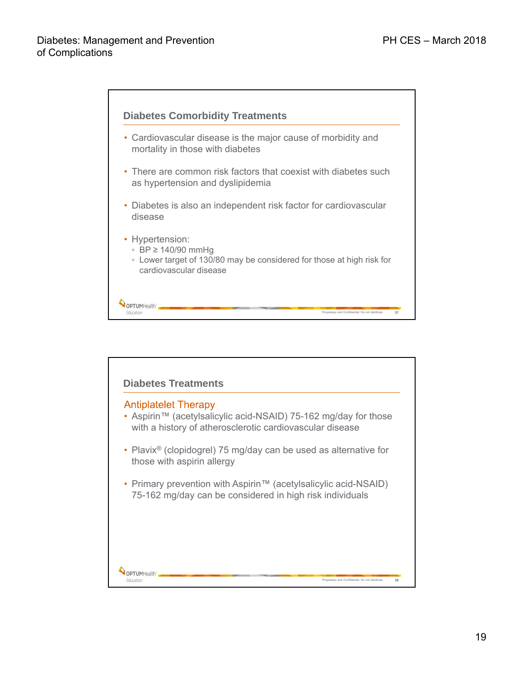

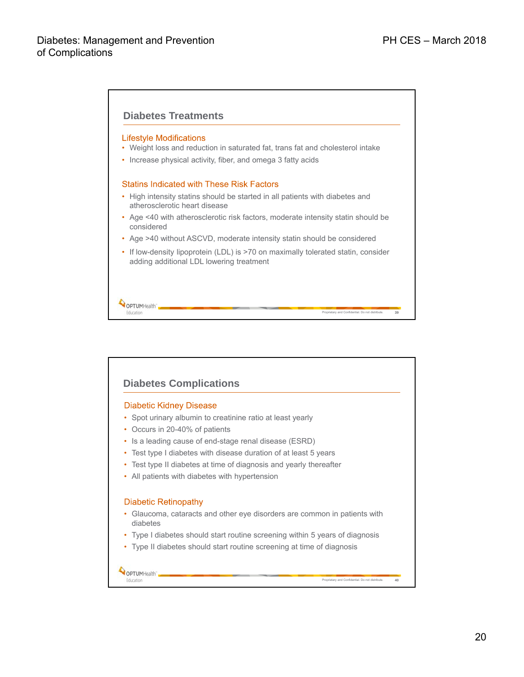

## **Diabetes Complications**

#### **Diabetic Kidney Disease**

- Spot urinary albumin to creatinine ratio at least yearly
- Occurs in 20-40% of patients
- Is a leading cause of end-stage renal disease (ESRD)
- Test type I diabetes with disease duration of at least 5 years
- Test type II diabetes at time of diagnosis and yearly thereafter
- All patients with diabetes with hypertension

#### **Diabetic Retinopathy**

- Glaucoma, cataracts and other eye disorders are common in patients with diabetes
- Type I diabetes should start routine screening within 5 years of diagnosis
- Type II diabetes should start routine screening at time of diagnosis

OPTUMHealth Education

Proprietary and Confidential. Do not distribute. **40**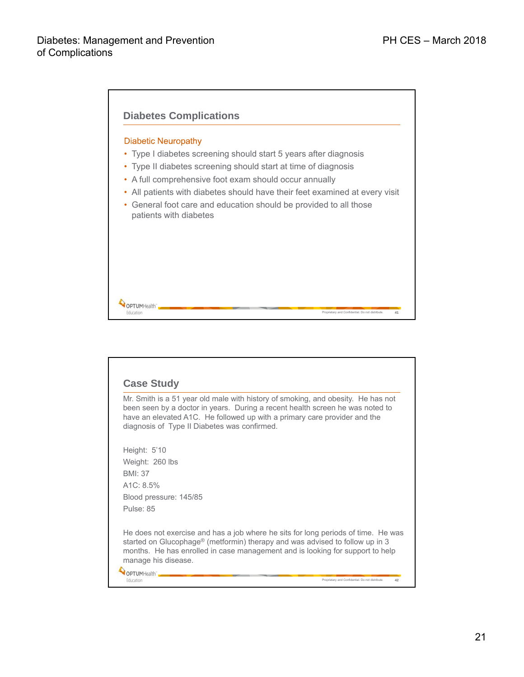

### **Case Study** Mr. Smith is a 51 year old male with history of smoking, and obesity. He has not been seen by a doctor in years. During a recent health screen he was noted to have an elevated A1C. He followed up with a primary care provider and the diagnosis of Type II Diabetes was confirmed. Height: 5'10 Weight: 260 lbs BMI: 37 A1C: 8.5% Blood pressure: 145/85 Pulse: 85 He does not exercise and has a job where he sits for long periods of time. He was started on Glucophage<sup>®</sup> (metformin) therapy and was advised to follow up in 3 months. He has enrolled in case management and is looking for support to help manage his disease. OPTUMHealth Education Proprietary and Confidential. Do not distribute. **42**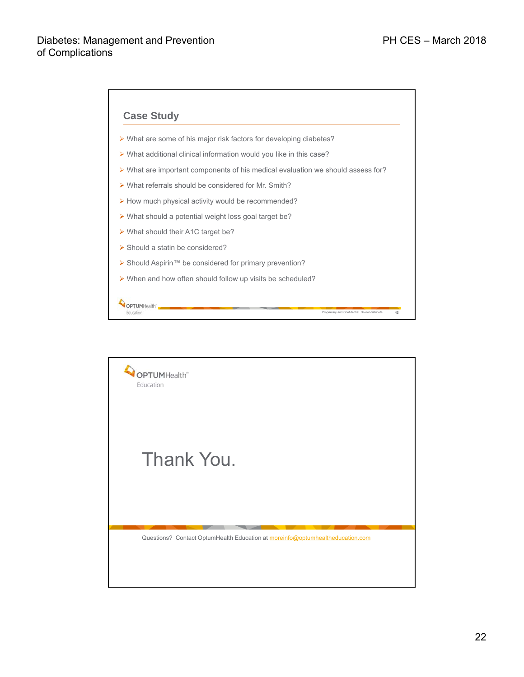